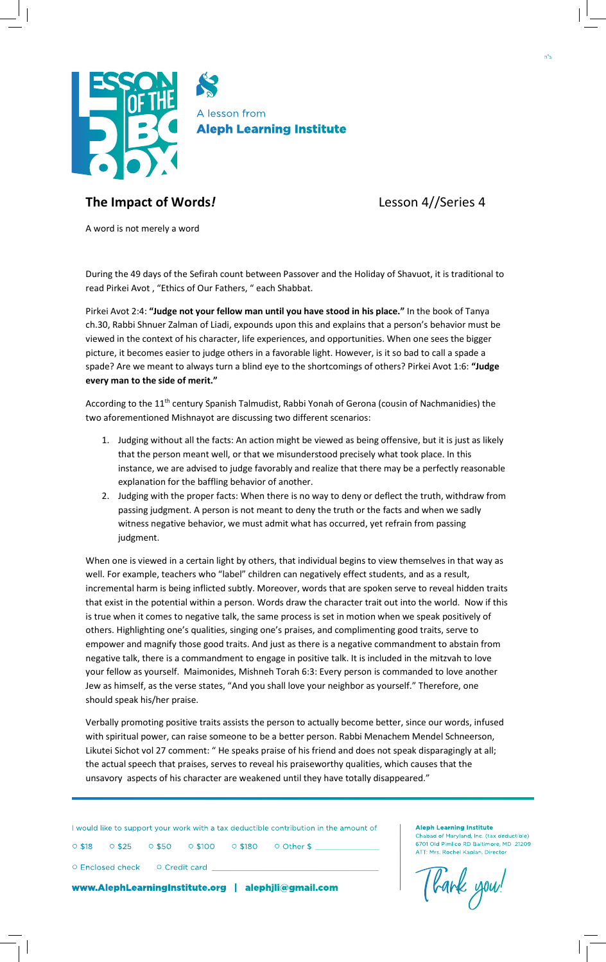

## **The Impact of Words***!* Lesson 4//Series 4

A word is not merely a word

During the 49 days of the Sefirah count between Passover and the Holiday of Shavuot, it is traditional to read Pirkei Avot , "Ethics of Our Fathers, " each Shabbat.

Pirkei Avot 2:4: **"Judge not your fellow man until you have stood in his place."** In the book of Tanya ch.30, Rabbi Shnuer Zalman of Liadi, expounds upon this and explains that a person's behavior must be viewed in the context of his character, life experiences, and opportunities. When one sees the bigger picture, it becomes easier to judge others in a favorable light. However, is it so bad to call a spade a spade? Are we meant to always turn a blind eye to the shortcomings of others? Pirkei Avot 1:6: **"Judge every man to the side of merit."**

According to the 11<sup>th</sup> century Spanish Talmudist, Rabbi Yonah of Gerona (cousin of Nachmanidies) the two aforementioned Mishnayot are discussing two different scenarios:

- 1. Judging without all the facts: An action might be viewed as being offensive, but it is just as likely that the person meant well, or that we misunderstood precisely what took place. In this instance, we are advised to judge favorably and realize that there may be a perfectly reasonable explanation for the baffling behavior of another.
- 2. Judging with the proper facts: When there is no way to deny or deflect the truth, withdraw from passing judgment. A person is not meant to deny the truth or the facts and when we sadly witness negative behavior, we must admit what has occurred, yet refrain from passing judgment.

When one is viewed in a certain light by others, that individual begins to view themselves in that way as well. For example, teachers who "label" children can negatively effect students, and as a result, incremental harm is being inflicted subtly. Moreover, words that are spoken serve to reveal hidden traits that exist in the potential within a person. Words draw the character trait out into the world. Now if this is true when it comes to negative talk, the same process is set in motion when we speak positively of others. Highlighting one's qualities, singing one's praises, and complimenting good traits, serve to empower and magnify those good traits. And just as there is a negative commandment to abstain from negative talk, there is a commandment to engage in positive talk. It is included in the mitzvah to love your fellow as yourself. Maimonides, Mishneh Torah 6:3: Every person is commanded to love another Jew as himself, as the verse states, "And you shall love your neighbor as yourself." Therefore, one should speak his/her praise.

Verbally promoting positive traits assists the person to actually become better, since our words, infused with spiritual power, can raise someone to be a better person. Rabbi Menachem Mendel Schneerson, Likutei Sichot vol 27 comment: " He speaks praise of his friend and does not speak disparagingly at all; the actual speech that praises, serves to reveal his praiseworthy qualities, which causes that the unsavory aspects of his character are weakened until they have totally disappeared."

I would like to support your work with a tax deductible contribution in the amount of

○ \$18 ○ \$25 ○ \$50 ○ \$100 ○ \$180 ○ Other \$ \_\_

○ Enclosed check ○ Credit card \_

www.AlephLearningInstitute.org | alephjli@gmail.com

Tlank you!

**Aleph Learning Institute**

ad of Maryland, Inc. (tax deductible) 6701 Old Pimlico RD Baltimore, MD 21209 ATT: Mrs. Rochel Kaplan, Director